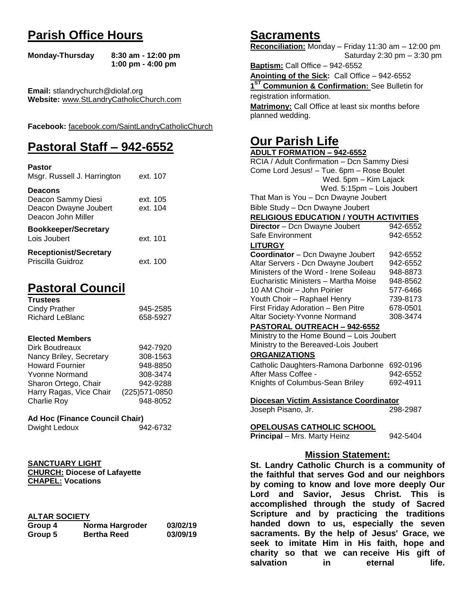# **Parish Office Hours**

```
Monday-Thursday 8:30 am - 12:00 pm
       1:00 pm - 4:00 pm
```
**Email:** stlandrychurch@diolaf.org **Website:** [www.StLandryCatholicChurch.com](http://www.stlandrycatholicchurch.com/)

**Facebook:** [facebook.com/SaintLandryCatholicChurch](http://facebook.com/SaintLandryCatholicChurch)

# **Pastoral Staff – 942-6552**

| <b>Pastor</b><br>Msgr. Russell J. Harrington                                        | ext. 107             |
|-------------------------------------------------------------------------------------|----------------------|
| <b>Deacons</b><br>Deacon Sammy Diesi<br>Deacon Dwayne Joubert<br>Deacon John Miller | ext. 105<br>ext. 104 |
| <b>Bookkeeper/Secretary</b><br>Lois Joubert                                         | ext. 101             |
| <b>Receptionist/Secretary</b><br>Priscilla Guidroz                                  | ext. 100             |

# **Pastoral Council**

| <b>Trustees</b> |          |
|-----------------|----------|
| Cindy Prather   | 945-2585 |
| Richard LeBlanc | 658-5927 |

#### **Elected Members**

| Dirk Boudreaux          | 942-7920       |
|-------------------------|----------------|
| Nancy Briley, Secretary | 308-1563       |
| <b>Howard Fournier</b>  | 948-8850       |
| <b>Yvonne Normand</b>   | 308-3474       |
| Sharon Ortego, Chair    | 942-9288       |
| Harry Ragas, Vice Chair | (225) 571-0850 |
| <b>Charlie Roy</b>      | 948-8052       |

# **Ad Hoc (Finance Council Chair)**

```
Dwight Ledoux 942-6732
```

| <b>SANCTUARY LIGHT</b>              |
|-------------------------------------|
| <b>CHURCH: Diocese of Lafayette</b> |
| <b>CHAPEL: Vocations</b>            |

# **ALTAR SOCIETY**

| Group 4 | Norma Hargroder    | 03/02/19 |
|---------|--------------------|----------|
| Group 5 | <b>Bertha Reed</b> | 03/09/19 |

# **Sacraments**

**Reconciliation:** Monday – Friday 11:30 am – 12:00 pm Saturday 2:30 pm – 3:30 pm

**Baptism:** Call Office – 942-6552 **Anointing of the Sick:** Call Office – 942-6552 **1 ST Communion & Confirmation:** See Bulletin for registration information. **Matrimony:** Call Office at least six months before planned wedding.

# **Our Parish Life**

| <b>ADULT FORMATION - 942-6552</b>              |          |
|------------------------------------------------|----------|
| RCIA / Adult Confirmation - Dcn Sammy Diesi    |          |
| Come Lord Jesus! - Tue. 6pm - Rose Boulet      |          |
| Wed. 5pm - Kim Lajack                          |          |
| Wed. 5:15pm - Lois Joubert                     |          |
| That Man is You - Dcn Dwayne Joubert           |          |
| Bible Study - Dcn Dwayne Joubert               |          |
| <b>RELIGIOUS EDUCATION / YOUTH ACTIVITIES</b>  |          |
| Director - Dcn Dwayne Joubert                  | 942-6552 |
| Safe Environment                               | 942-6552 |
| <b>LITURGY</b>                                 |          |
| Coordinator - Dcn Dwayne Joubert               | 942-6552 |
| Altar Servers - Dcn Dwayne Joubert             | 942-6552 |
| Ministers of the Word - Irene Soileau          | 948-8873 |
| Eucharistic Ministers - Martha Moise           | 948-8562 |
| 10 AM Choir - John Poirier                     | 577-6466 |
| Youth Choir - Raphael Henry                    | 739-8173 |
| First Friday Adoration - Ben Pitre             | 678-0501 |
| Altar Society-Yvonne Normand                   | 308-3474 |
| PASTORAL OUTREACH - 942-6552                   |          |
| Ministry to the Home Bound - Lois Joubert      |          |
| Ministry to the Bereaved-Lois Joubert          |          |
| <b>ORGANIZATIONS</b>                           |          |
| Catholic Daughters-Ramona Darbonne             | 692-0196 |
| After Mass Coffee -                            | 942-6552 |
| Knights of Columbus-Sean Briley                | 692-4911 |
|                                                |          |
| Diocesan Victim Assistance Coordinator         |          |
| Joseph Pisano, Jr.                             | 298-2987 |
| OPELOUSAS CATHOLIC SCHOOL                      |          |
| Principal - Mrs. Marty Heinz                   | 942-5404 |
|                                                |          |
| <b>Mission Statement:</b>                      |          |
| St. Landry Catholic Church is a community of   |          |
| the faithful that serves God and our neighbors |          |
| by coming to know and love more deeply Our     |          |
| Savior, Jesus Christ. This is<br>Lord<br>and   |          |
| accomplished through the study of Sacred       |          |
|                                                |          |

**accomplished through the study of Sacred Scripture and by practicing the traditions handed down to us, especially the seven sacraments. By the help of Jesus' Grace, we seek to imitate Him in His faith, hope and charity so that we can receive His gift of salvation in** eternal life.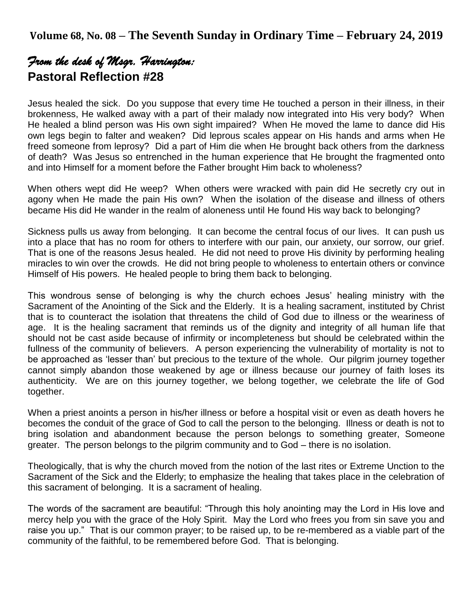# *From the desk of Msgr. Harrington:*  **Pastoral Reflection #28**

Jesus healed the sick. Do you suppose that every time He touched a person in their illness, in their brokenness, He walked away with a part of their malady now integrated into His very body? When He healed a blind person was His own sight impaired? When He moved the lame to dance did His own legs begin to falter and weaken? Did leprous scales appear on His hands and arms when He freed someone from leprosy? Did a part of Him die when He brought back others from the darkness of death? Was Jesus so entrenched in the human experience that He brought the fragmented onto and into Himself for a moment before the Father brought Him back to wholeness?

When others wept did He weep? When others were wracked with pain did He secretly cry out in agony when He made the pain His own? When the isolation of the disease and illness of others became His did He wander in the realm of aloneness until He found His way back to belonging?

Sickness pulls us away from belonging. It can become the central focus of our lives. It can push us into a place that has no room for others to interfere with our pain, our anxiety, our sorrow, our grief. That is one of the reasons Jesus healed. He did not need to prove His divinity by performing healing miracles to win over the crowds. He did not bring people to wholeness to entertain others or convince Himself of His powers. He healed people to bring them back to belonging.

This wondrous sense of belonging is why the church echoes Jesus' healing ministry with the Sacrament of the Anointing of the Sick and the Elderly. It is a healing sacrament, instituted by Christ that is to counteract the isolation that threatens the child of God due to illness or the weariness of age. It is the healing sacrament that reminds us of the dignity and integrity of all human life that should not be cast aside because of infirmity or incompleteness but should be celebrated within the fullness of the community of believers. A person experiencing the vulnerability of mortality is not to be approached as 'lesser than' but precious to the texture of the whole. Our pilgrim journey together cannot simply abandon those weakened by age or illness because our journey of faith loses its authenticity. We are on this journey together, we belong together, we celebrate the life of God together.

When a priest anoints a person in his/her illness or before a hospital visit or even as death hovers he becomes the conduit of the grace of God to call the person to the belonging. Illness or death is not to bring isolation and abandonment because the person belongs to something greater, Someone greater. The person belongs to the pilgrim community and to God – there is no isolation.

Theologically, that is why the church moved from the notion of the last rites or Extreme Unction to the Sacrament of the Sick and the Elderly; to emphasize the healing that takes place in the celebration of this sacrament of belonging. It is a sacrament of healing.

The words of the sacrament are beautiful: "Through this holy anointing may the Lord in His love and mercy help you with the grace of the Holy Spirit. May the Lord who frees you from sin save you and raise you up." That is our common prayer; to be raised up, to be re-membered as a viable part of the community of the faithful, to be remembered before God. That is belonging.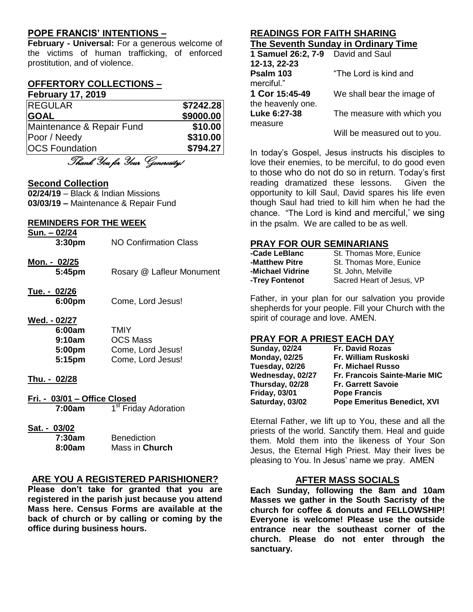# **POPE FRANCIS' INTENTIONS –**

**February - Universal:** For a generous welcome of the victims of human trafficking, of enforced prostitution, and of violence.

# **OFFERTORY COLLECTIONS –**

#### **February 17, 2019**

| <b>REGULAR</b>                         | \$7242.28 |
|----------------------------------------|-----------|
| <b>GOAL</b>                            | \$9000.00 |
| Maintenance & Repair Fund              | \$10.00   |
| Poor / Needy                           | \$310.00  |
| <b>OCS Foundation</b>                  | \$794.27  |
| $\pi$ , $\alpha$ , $\alpha$ , $\alpha$ |           |

Thank You for Your Generosity!

#### **Second Collection**

**02/24/19** – Black & Indian Missions **03/03/19 –** Maintenance & Repair Fund

#### **REMINDERS FOR THE WEEK**

| Sun. - 02/24<br>3:30 <sub>pm</sub>                                         | NO Confirmation Class                                                    |
|----------------------------------------------------------------------------|--------------------------------------------------------------------------|
| Mon. - 02/25<br>5:45pm                                                     | Rosary @ Lafleur Monument                                                |
| Tue. - 02/26<br>6:00pm                                                     | Come, Lord Jesus!                                                        |
| Wed. - 02/27<br>6:00am<br>9:10am<br>5:00pm<br>5:15pm                       | <b>TMIY</b><br><b>OCS Mass</b><br>Come, Lord Jesus!<br>Come, Lord Jesus! |
| Thu. - 02/28                                                               |                                                                          |
| Fri. - 03/01 – Office Closed<br>1 <sup>st</sup> Friday Adoration<br>7:00am |                                                                          |
| Sat. - 03/02                                                               |                                                                          |

| 7:30am | <b>Benediction</b> |
|--------|--------------------|
| 8:00am | Mass in Church     |

# **ARE YOU A REGISTERED PARISHIONER?**

**Please don't take for granted that you are registered in the parish just because you attend Mass here. Census Forms are available at the back of church or by calling or coming by the office during business hours.**

## **READINGS FOR FAITH SHARING The Seventh Sunday in Ordinary Time**

| 1 Samuel 26:2, 7-9 | David and Saul               |
|--------------------|------------------------------|
| 12-13, 22-23       |                              |
| Psalm 103          | "The Lord is kind and        |
| merciful."         |                              |
| 1 Cor 15:45-49     | We shall bear the image of   |
| the heavenly one.  |                              |
| Luke 6:27-38       | The measure with which you   |
| measure            |                              |
|                    | Will be measured out to you. |

In today's Gospel, Jesus instructs his disciples to love their enemies, to be merciful, to do good even to those who do not do so in return. Today's first reading dramatized these lessons. Given the opportunity to kill Saul, David spares his life even though Saul had tried to kill him when he had the chance. "The Lord is kind and merciful,' we sing in the psalm. We are called to be as well.

# **PRAY FOR OUR SEMINARIANS**

| -Cade LeBlanc    | St. Thomas More, Eunice   |
|------------------|---------------------------|
| -Matthew Pitre   | St. Thomas More, Eunice   |
| -Michael Vidrine | St. John, Melville        |
| -Trey Fontenot   | Sacred Heart of Jesus, VP |

Father, in your plan for our salvation you provide shepherds for your people. Fill your Church with the spirit of courage and love. AMEN.

# **PRAY FOR A PRIEST EACH DAY**

| <b>Sunday, 02/24</b> | <b>Fr. David Rozas</b>               |
|----------------------|--------------------------------------|
| <b>Monday, 02/25</b> | Fr. William Ruskoski                 |
| Tuesday, 02/26       | <b>Fr. Michael Russo</b>             |
| Wednesday, 02/27     | <b>Fr. Francois Sainte-Marie MIC</b> |
| Thursday, 02/28      | <b>Fr. Garrett Savoie</b>            |
| <b>Friday, 03/01</b> | <b>Pope Francis</b>                  |
| Saturday, 03/02      | <b>Pope Emeritus Benedict, XVI</b>   |

Eternal Father, we lift up to You, these and all the priests of the world. Sanctify them. Heal and guide them. Mold them into the likeness of Your Son Jesus, the Eternal High Priest. May their lives be pleasing to You. In Jesus' name we pray. AMEN

# **AFTER MASS SOCIALS**

**Each Sunday, following the 8am and 10am Masses we gather in the South Sacristy of the church for coffee & donuts and FELLOWSHIP! Everyone is welcome! Please use the outside entrance near the southeast corner of the church. Please do not enter through the sanctuary.**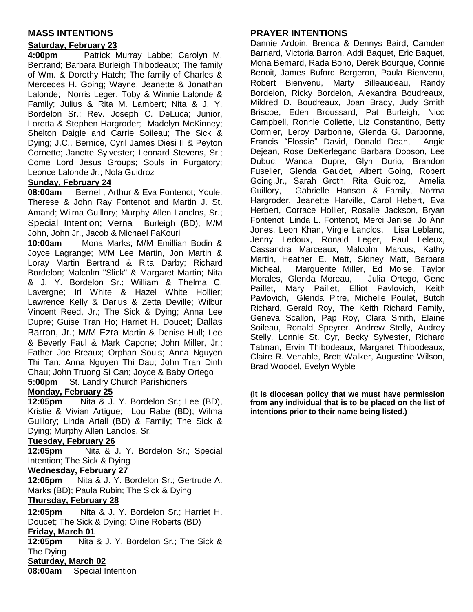# **MASS INTENTIONS**

## **Saturday, February 23**

**4:00pm** Patrick Murray Labbe; Carolyn M. Bertrand; Barbara Burleigh Thibodeaux; The family of Wm. & Dorothy Hatch; The family of Charles & Mercedes H. Going; Wayne, Jeanette & Jonathan Lalonde; Norris Leger, Toby & Winnie Lalonde & Family; Julius & Rita M. Lambert; Nita & J. Y. Bordelon Sr.; Rev. Joseph C. DeLuca; Junior, Loretta & Stephen Hargroder; Madelyn McKinney; Shelton Daigle and Carrie Soileau; The Sick & Dying; J.C., Bernice, Cyril James Diesi II & Peyton Cornette; Janette Sylvester; Leonard Stevens, Sr.; Come Lord Jesus Groups; Souls in Purgatory; Leonce Lalonde Jr.; Nola Guidroz

#### **Sunday, February 24**

**08:00am** Bernel , Arthur & Eva Fontenot; Youle, Therese & John Ray Fontenot and Martin J. St. Amand; Wilma Guillory; Murphy Allen Lanclos, Sr.; Special Intention; Verna Burleigh (BD); M/M John, John Jr., Jacob & Michael FaKouri

**10:00am** Mona Marks; M/M Emillian Bodin & Joyce Lagrange; M/M Lee Martin, Jon Martin & Loray Martin Bertrand & Rita Darby; Richard Bordelon; Malcolm "Slick" & Margaret Martin; Nita & J. Y. Bordelon Sr.; William & Thelma C. Lavergne; Irl White & Hazel White Hollier; Lawrence Kelly & Darius & Zetta Deville; Wilbur Vincent Reed, Jr.; The Sick & Dying; Anna Lee Dupre; Guise Tran Ho; Harriet H. Doucet; Dallas Barron, Jr.; M/M Ezra Martin & Denise Hull; Lee & Beverly Faul & Mark Capone; John Miller, Jr.; Father Joe Breaux; Orphan Souls; Anna Nguyen Thi Tan; Anna Nguyen Thi Dau; John Tran Dinh Chau; John Truong Si Can; Joyce & Baby Ortego **5:00pm** St. Landry Church Parishioners

# **Monday, February 25**

**12:05pm** Nita & J. Y. Bordelon Sr.; Lee (BD), Kristie & Vivian Artigue; Lou Rabe (BD); Wilma Guillory; Linda Artall (BD) & Family; The Sick & Dying; Murphy Allen Lanclos, Sr.

#### **Tuesday, February 26**

**12:05pm** Nita & J. Y. Bordelon Sr.; Special Intention; The Sick & Dying

#### **Wednesday, February 27**

**12:05pm** Nita & J. Y. Bordelon Sr.; Gertrude A. Marks (BD); Paula Rubin; The Sick & Dying **Thursday, February 28**

**12:05pm** Nita & J. Y. Bordelon Sr.; Harriet H. Doucet; The Sick & Dying; Oline Roberts (BD)

#### **Friday, March 01**

**12:05pm** Nita & J. Y. Bordelon Sr.; The Sick & The Dying

# **Saturday, March 02**

**08:00am** Special Intention

# **PRAYER INTENTIONS**

Dannie Ardoin, Brenda & Dennys Baird, Camden Barnard, Victoria Barron, Addi Baquet, Eric Baquet, Mona Bernard, Rada Bono, Derek Bourque, Connie Benoit, James Buford Bergeron, Paula Bienvenu, Robert Bienvenu, Marty Billeaudeau, Randy Bordelon, Ricky Bordelon, Alexandra Boudreaux, Mildred D. Boudreaux, Joan Brady, Judy Smith Briscoe, Eden Broussard, Pat Burleigh, Nico Campbell, Ronnie Collette, Liz Constantino, Betty Cormier, Leroy Darbonne, Glenda G. Darbonne, Francis "Flossie" David, Donald Dean, Angie Dejean, Rose DeKerlegand Barbara Dopson, Lee Dubuc, Wanda Dupre, Glyn Durio, Brandon Fuselier, Glenda Gaudet, Albert Going, Robert Going,Jr., Sarah Groth, Rita Guidroz, Amelia Guillory, Gabrielle Hanson & Family, Norma Hargroder, Jeanette Harville, Carol Hebert, Eva Herbert, Corrace Hollier, Rosalie Jackson, Bryan Fontenot, Linda L. Fontenot, Merci Janise, Jo Ann Jones, Leon Khan, Virgie Lanclos, Lisa Leblanc, Jenny Ledoux, Ronald Leger, Paul Leleux, Cassandra Marceaux, Malcolm Marcus, Kathy Martin, Heather E. Matt, Sidney Matt, Barbara Micheal, Marguerite Miller, Ed Moise, Taylor Morales, Glenda Moreau, Julia Ortego, Gene Paillet, Mary Paillet, Elliot Pavlovich, Keith Pavlovich, Glenda Pitre, Michelle Poulet, Butch Richard, Gerald Roy, The Keith Richard Family, Geneva Scallon, Pap Roy, Clara Smith, Elaine Soileau, Ronald Speyrer. Andrew Stelly, Audrey Stelly, Lonnie St. Cyr, Becky Sylvester, Richard Tatman, Ervin Thibodeaux, Margaret Thibodeaux, Claire R. Venable, Brett Walker, Augustine Wilson, Brad Woodel, Evelyn Wyble

**(It is diocesan policy that we must have permission from any individual that is to be placed on the list of intentions prior to their name being listed.)**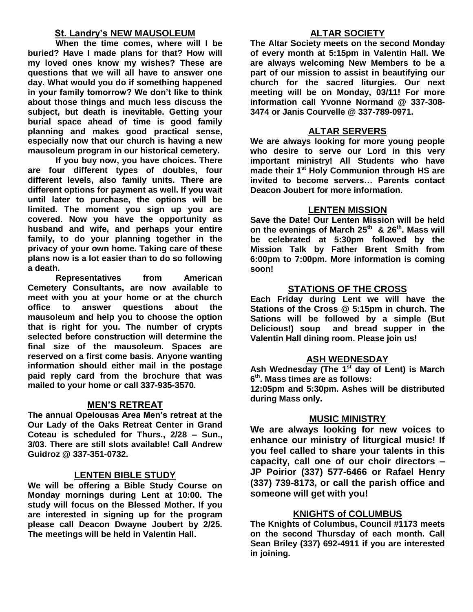## **St. Landry's NEW MAUSOLEUM**

**When the time comes, where will I be buried? Have I made plans for that? How will my loved ones know my wishes? These are questions that we will all have to answer one day. What would you do if something happened in your family tomorrow? We don't like to think about those things and much less discuss the subject, but death is inevitable. Getting your burial space ahead of time is good family planning and makes good practical sense, especially now that our church is having a new mausoleum program in our historical cemetery.**

**If you buy now, you have choices. There are four different types of doubles, four different levels, also family units. There are different options for payment as well. If you wait until later to purchase, the options will be limited. The moment you sign up you are covered. Now you have the opportunity as husband and wife, and perhaps your entire family, to do your planning together in the privacy of your own home. Taking care of these plans now is a lot easier than to do so following a death.**

**Representatives from American Cemetery Consultants, are now available to meet with you at your home or at the church office to answer questions about the mausoleum and help you to choose the option that is right for you. The number of crypts selected before construction will determine the final size of the mausoleum. Spaces are reserved on a first come basis. Anyone wanting information should either mail in the postage paid reply card from the brochure that was mailed to your home or call 337-935-3570.**

# **MEN'S RETREAT**

**The annual Opelousas Area Men's retreat at the Our Lady of the Oaks Retreat Center in Grand Coteau is scheduled for Thurs., 2/28 – Sun., 3/03. There are still slots available! Call Andrew Guidroz @ 337-351-0732.**

#### **LENTEN BIBLE STUDY**

**We will be offering a Bible Study Course on Monday mornings during Lent at 10:00. The study will focus on the Blessed Mother. If you are interested in signing up for the program please call Deacon Dwayne Joubert by 2/25. The meetings will be held in Valentin Hall.**

### **ALTAR SOCIETY**

**The Altar Society meets on the second Monday of every month at 5:15pm in Valentin Hall. We are always welcoming New Members to be a part of our mission to assist in beautifying our church for the sacred liturgies. Our next meeting will be on Monday, 03/11! For more information call Yvonne Normand @ 337-308- 3474 or Janis Courvelle @ 337-789-0971.** 

#### **ALTAR SERVERS**

**We are always looking for more young people who desire to serve our Lord in this very important ministry! All Students who have made their 1st Holy Communion through HS are invited to become servers… Parents contact Deacon Joubert for more information.**

#### **LENTEN MISSION**

**Save the Date! Our Lenten Mission will be held on the evenings of March 25th & 26th. Mass will be celebrated at 5:30pm followed by the Mission Talk by Father Brent Smith from 6:00pm to 7:00pm. More information is coming soon!**

#### **STATIONS OF THE CROSS**

**Each Friday during Lent we will have the Stations of the Cross @ 5:15pm in church. The Sations will be followed by a simple (But Delicious!) soup and bread supper in the Valentin Hall dining room. Please join us!**

#### **ASH WEDNESDAY**

**Ash Wednesday (The 1st day of Lent) is March 6 th. Mass times are as follows:**

**12:05pm and 5:30pm. Ashes will be distributed during Mass only.**

#### **MUSIC MINISTRY**

**We are always looking for new voices to enhance our ministry of liturgical music! If you feel called to share your talents in this capacity, call one of our choir directors – JP Poirior (337) 577-6466 or Rafael Henry (337) 739-8173, or call the parish office and someone will get with you!**

#### **KNIGHTS of COLUMBUS**

**The Knights of Columbus, Council #1173 meets on the second Thursday of each month. Call Sean Briley (337) 692-4911 if you are interested in joining.**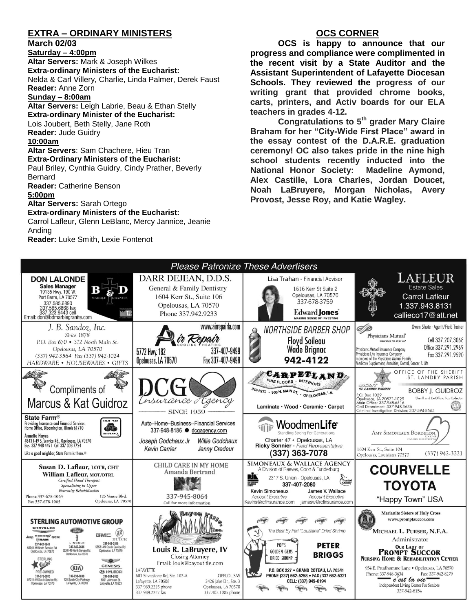# **EXTRA – ORDINARY MINISTERS**

**March 02/03 Saturday – 4:00pm Altar Servers:** Mark & Joseph Wilkes **Extra-ordinary Ministers of the Eucharist:**  Nelda & Carl Villery, Charlie, Linda Palmer, Derek Faust **Reader:** Anne Zorn **Sunday – 8:00am Altar Servers:** Leigh Labrie, Beau & Ethan Stelly **Extra-ordinary Minister of the Eucharist:** Lois Joubert, Beth Stelly, Jane Roth **Reader:** Jude Guidry **10:00am Altar Servers**: Sam Chachere, Hieu Tran **Extra-Ordinary Ministers of the Eucharist:** Paul Briley, Cynthia Guidry, Cindy Prather, Beverly Bernard **Reader:** Catherine Benson **5:00pm Altar Servers:** Sarah Ortego **Extra-ordinary Ministers of the Eucharist:** Carrol Lafleur, Glenn LeBlanc, Mercy Jannice, Jeanie Anding **Reader:** Luke Smith, Lexie Fontenot

## **OCS CORNER**

**OCS is happy to announce that our progress and compliance were complimented in the recent visit by a State Auditor and the Assistant Superintendent of Lafayette Diocesan Schools. They reviewed the progress of our writing grant that provided chrome books, carts, printers, and Activ boards for our ELA teachers in grades 4-12.** 

**Congratulations to 5th grader Mary Claire Braham for her "City-Wide First Place" award in the essay contest of the D.A.R.E. graduation ceremony! OC also takes pride in the nine high school students recently inducted into the National Honor Society: Madeline Aymond, Alex Castille, Lora Charles, Jordan Doucet, Noah LaBruyere, Morgan Nicholas, Avery Provost, Jesse Roy, and Katie Wagley.**